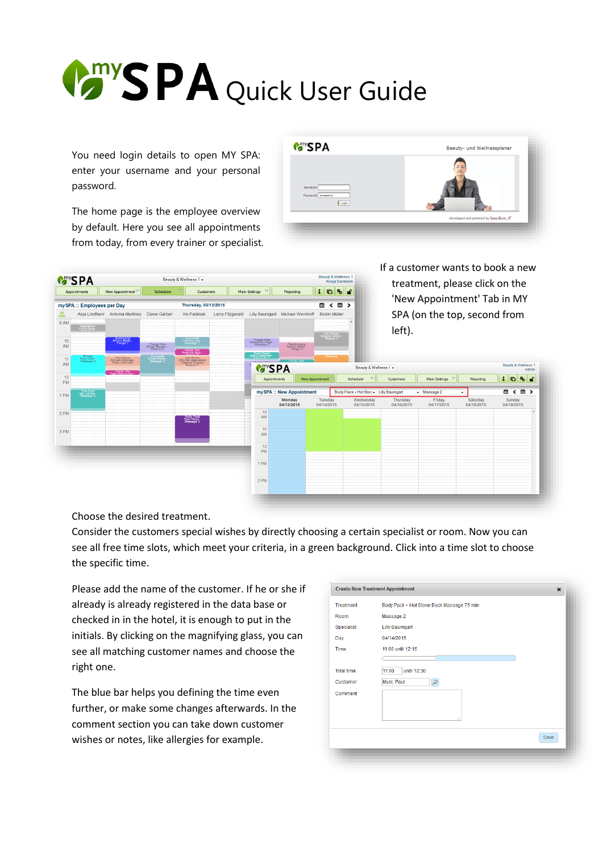## **PA** Quick User Guide

You need login details to open MY SPA: enter your username and your personal password.

The home page is the employee overview by default. Here you see all appointments from today, from every trainer or specialist.



|                 | Beauty & Wellness 1<br><b>MAYSPA</b><br>Beauty & Wellness 1 -<br>Ronja Dambeck<br>$\mathbf{i}$ o |                                                |                                        |                                                                      |                         |                                           |                                                 |                           |                                   | If a customer wants to book a new<br>treatment, please click on the |                                 |                        |                              |
|-----------------|--------------------------------------------------------------------------------------------------|------------------------------------------------|----------------------------------------|----------------------------------------------------------------------|-------------------------|-------------------------------------------|-------------------------------------------------|---------------------------|-----------------------------------|---------------------------------------------------------------------|---------------------------------|------------------------|------------------------------|
|                 | Appointments                                                                                     | New Appointment <sup></sup>                    | Scheduler                              | 호                                                                    | Customers               |                                           | $\mathbf{\nabla}$<br>Main Settings<br>Reporting |                           | $\mathbf{S} \parallel \mathbf{S}$ |                                                                     |                                 |                        |                              |
|                 | mySPA :: Employees per Day                                                                       |                                                |                                        | Thursday, 03/12/2015                                                 |                         |                                           |                                                 | ▦<br>≺                    | 63 >                              |                                                                     | 'New Appointment' Tab in MY     |                        |                              |
| ≞<br>9 AM       |                                                                                                  | Ania Lindtherr Antonia Martinez Diane Gärber   |                                        | <b>Iris Padinski</b>                                                 | <b>Larry Fitzgerald</b> |                                           | Lilly Baumgart Michael Wernhoff                 | Robin Müller              |                                   |                                                                     | SPA (on the top, second from    |                        |                              |
|                 | Depilation<br>Vigin Dana                                                                         |                                                |                                        |                                                                      |                         |                                           |                                                 | Hot Stone<br>Gregory Anto |                                   | left).                                                              |                                 |                        |                              |
| 10<br>AM        |                                                                                                  | Subtropics<br>Milton Berle<br>Fango 1          | Thalgo Men<br>Edgar Bergen<br>Beauty 2 | Ayurveda<br>Tommy Udo -<br>Massage 1<br>Hibisk Ma<br>Patricia Neal - |                         | Thalgo Men<br>Geraldine Page<br>Massage 2 | Padabhyang<br>Nelson Eddy<br>Fango 3            |                           |                                   |                                                                     |                                 |                        |                              |
| 11<br>AM        | Pilates<br>Ruby Dee -<br>Massage 3                                                               | Hot Stone<br>William Wallace<br>Paar- Wellness | Ayurveda<br>Oliver Hardy<br>Massage 2  | Hot Stone<br>ONLINE reservation<br>- Dagmar Rusvay -<br>Beauty 3     |                         | Back Massa<br>Ingrid Bergman              | <b>MARING SPA</b>                               | Meeting                   |                                   | Beauty & Wellness 1 -                                               |                                 |                        | Beauty & Wellness 1<br>Admin |
| 12<br><b>PM</b> |                                                                                                  | Hibisk, Ma<br>red Macmurray                    |                                        |                                                                      |                         |                                           | Appointments                                    | New Appointment ▽         | Scheduler                         | $\triangledown$<br>Customers                                        | Main Settings $\heartsuit$      | Reporting              | $\mathbf{i}$ o<br>l‰ Le      |
| 1 PM            | Thai Foot<br>Ida Lupino<br>Massage 2                                                             |                                                |                                        |                                                                      |                         |                                           | mySPA :: New Appointment                        |                           |                                   | Body Pack + Hot Ston + Lilly Baumgart                               | $\blacktriangleright$ Massage 2 | ۰                      | < 箇 ><br>簂                   |
|                 |                                                                                                  |                                                |                                        |                                                                      |                         |                                           | Monday<br>04/13/2015                            | Tuesday<br>04/14/2015     | Wednesday<br>04/15/2015           | Thursday<br>04/16/2015                                              | Friday<br>04/17/2015            | Saturday<br>04/18/2015 | Sunday<br>04/19/2015         |
| 2 PM            |                                                                                                  |                                                |                                        | Body Pack<br>Paul Muni<br>Massage 2                                  |                         | 10<br>AM                                  |                                                 |                           |                                   |                                                                     |                                 |                        |                              |
| 3 PM            |                                                                                                  |                                                |                                        |                                                                      |                         | 11<br>AM                                  |                                                 |                           |                                   |                                                                     |                                 |                        |                              |
|                 |                                                                                                  |                                                |                                        |                                                                      |                         | 12<br><b>PM</b>                           |                                                 |                           |                                   |                                                                     |                                 |                        |                              |
|                 |                                                                                                  |                                                |                                        |                                                                      |                         | 1 PM                                      |                                                 |                           |                                   |                                                                     |                                 |                        |                              |
|                 |                                                                                                  |                                                |                                        |                                                                      |                         | 2 PM                                      |                                                 |                           |                                   |                                                                     |                                 |                        |                              |
|                 |                                                                                                  |                                                |                                        |                                                                      |                         |                                           |                                                 |                           |                                   |                                                                     |                                 |                        |                              |

Choose the desired treatment.

Consider the customers special wishes by directly choosing a certain specialist or room. Now you can see all free time slots, which meet your criteria, in a green background. Click into a time slot to choose the specific time.

Please add the name of the customer. If he or she if already is already registered in the data base or checked in in the hotel, it is enough to put in the initials. By clicking on the magnifying glass, you can see all matching customer names and choose the right one.

The blue bar helps you defining the time even further, or make some changes afterwards. In the comment section you can take down customer wishes or notes, like allergies for example.

|                   | <b>Create New Treatment Appointment</b><br>$\boldsymbol{\mathsf{x}}$ |
|-------------------|----------------------------------------------------------------------|
| <b>Treatment</b>  | Body Pack + Hot Stone Back Massage 75 min                            |
| Room              | Massage 2                                                            |
| Specialist        | <b>Lilly Baumgart</b>                                                |
| Day               | 04/14/2015                                                           |
| <b>Time</b>       | 11:00 until 12:15                                                    |
|                   |                                                                      |
| <b>Total time</b> | 11:00<br>until 12:30                                                 |
| Customer          | Muni, Paul<br>ρ                                                      |
| Comment           | A.                                                                   |
|                   |                                                                      |
|                   | Save                                                                 |